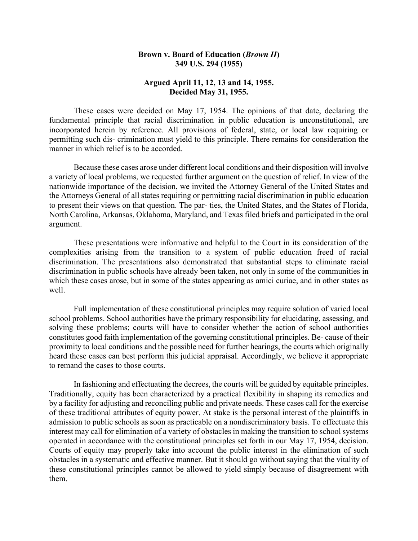## **Brown v. Board of Education (***Brown II***) 349 U.S. 294 (1955)**

## **Argued April 11, 12, 13 and 14, 1955. Decided May 31, 1955.**

These cases were decided on May 17, 1954. The opinions of that date, declaring the fundamental principle that racial discrimination in public education is unconstitutional, are incorporated herein by reference. All provisions of federal, state, or local law requiring or permitting such dis- crimination must yield to this principle. There remains for consideration the manner in which relief is to be accorded.

Because these cases arose under different local conditions and their disposition will involve a variety of local problems, we requested further argument on the question of relief. In view of the nationwide importance of the decision, we invited the Attorney General of the United States and the Attorneys General of all states requiring or permitting racial discrimination in public education to present their views on that question. The par- ties, the United States, and the States of Florida, North Carolina, Arkansas, Oklahoma, Maryland, and Texas filed briefs and participated in the oral argument.

These presentations were informative and helpful to the Court in its consideration of the complexities arising from the transition to a system of public education freed of racial discrimination. The presentations also demonstrated that substantial steps to eliminate racial discrimination in public schools have already been taken, not only in some of the communities in which these cases arose, but in some of the states appearing as amici curiae, and in other states as well.

Full implementation of these constitutional principles may require solution of varied local school problems. School authorities have the primary responsibility for elucidating, assessing, and solving these problems; courts will have to consider whether the action of school authorities constitutes good faith implementation of the governing constitutional principles. Be- cause of their proximity to local conditions and the possible need for further hearings, the courts which originally heard these cases can best perform this judicial appraisal. Accordingly, we believe it appropriate to remand the cases to those courts.

In fashioning and effectuating the decrees, the courts will be guided by equitable principles. Traditionally, equity has been characterized by a practical flexibility in shaping its remedies and by a facility for adjusting and reconciling public and private needs. These cases call for the exercise of these traditional attributes of equity power. At stake is the personal interest of the plaintiffs in admission to public schools as soon as practicable on a nondiscriminatory basis. To effectuate this interest may call for elimination of a variety of obstacles in making the transition to school systems operated in accordance with the constitutional principles set forth in our May 17, 1954, decision. Courts of equity may properly take into account the public interest in the elimination of such obstacles in a systematic and effective manner. But it should go without saying that the vitality of these constitutional principles cannot be allowed to yield simply because of disagreement with them.